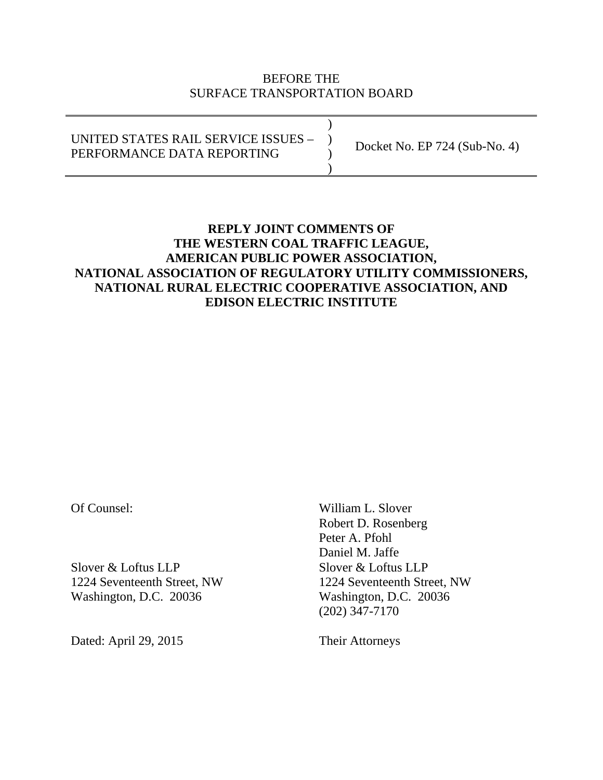### BEFORE THE SURFACE TRANSPORTATION BOARD

 $)$ UNITED STATES RAIL SERVICE ISSUES – ) PERFORMANCE DATA REPORTING  $)$ Docket No. EP 724 (Sub-No. 4)

# **REPLY JOINT COMMENTS OF THE WESTERN COAL TRAFFIC LEAGUE, AMERICAN PUBLIC POWER ASSOCIATION, NATIONAL ASSOCIATION OF REGULATORY UTILITY COMMISSIONERS, NATIONAL RURAL ELECTRIC COOPERATIVE ASSOCIATION, AND EDISON ELECTRIC INSTITUTE**

Slover & Loftus LLP<br>Slover & Loftus LLP 1224 Seventeenth Street, NW 1224 Seventeenth Street, NW Washington, D.C. 20036 Washington, D.C. 20036

Dated: April 29, 2015 Their Attorneys

Of Counsel: William L. Slover Robert D. Rosenberg Peter A. Pfohl Daniel M. Jaffe (202) 347-7170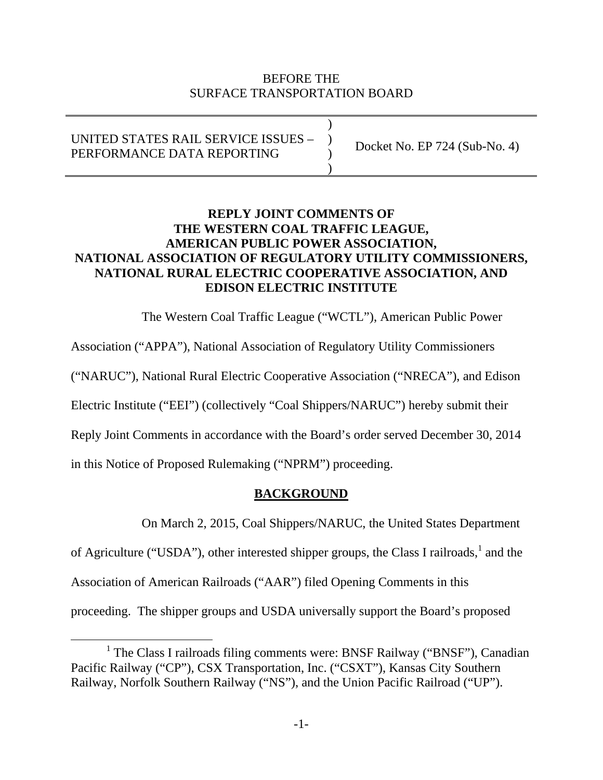### BEFORE THE SURFACE TRANSPORTATION BOARD

 $)$ UNITED STATES RAIL SERVICE ISSUES – ) PERFORMANCE DATA REPORTING  $)$ Docket No. EP 724 (Sub-No. 4)

## **REPLY JOINT COMMENTS OF THE WESTERN COAL TRAFFIC LEAGUE, AMERICAN PUBLIC POWER ASSOCIATION, NATIONAL ASSOCIATION OF REGULATORY UTILITY COMMISSIONERS, NATIONAL RURAL ELECTRIC COOPERATIVE ASSOCIATION, AND EDISON ELECTRIC INSTITUTE**

The Western Coal Traffic League ("WCTL"), American Public Power

Association ("APPA"), National Association of Regulatory Utility Commissioners

("NARUC"), National Rural Electric Cooperative Association ("NRECA"), and Edison

Electric Institute ("EEI") (collectively "Coal Shippers/NARUC") hereby submit their

Reply Joint Comments in accordance with the Board's order served December 30, 2014

in this Notice of Proposed Rulemaking ("NPRM") proceeding.

# **BACKGROUND**

On March 2, 2015, Coal Shippers/NARUC, the United States Department

of Agriculture ("USDA"), other interested shipper groups, the Class I railroads,  $\frac{1}{1}$  and the

Association of American Railroads ("AAR") filed Opening Comments in this

proceeding. The shipper groups and USDA universally support the Board's proposed

<sup>&</sup>lt;u>1</u> <sup>1</sup> The Class I railroads filing comments were: BNSF Railway ("BNSF"), Canadian Pacific Railway ("CP"), CSX Transportation, Inc. ("CSXT"), Kansas City Southern Railway, Norfolk Southern Railway ("NS"), and the Union Pacific Railroad ("UP").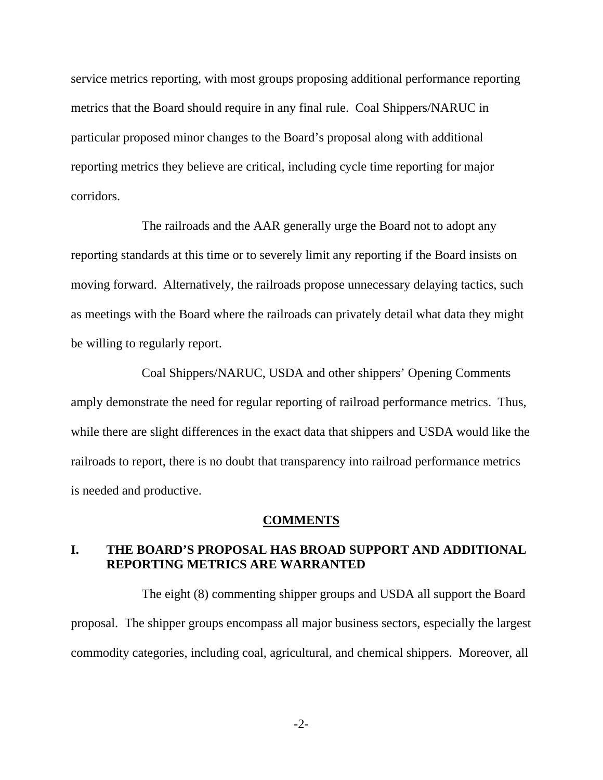service metrics reporting, with most groups proposing additional performance reporting metrics that the Board should require in any final rule. Coal Shippers/NARUC in particular proposed minor changes to the Board's proposal along with additional reporting metrics they believe are critical, including cycle time reporting for major corridors.

 The railroads and the AAR generally urge the Board not to adopt any reporting standards at this time or to severely limit any reporting if the Board insists on moving forward. Alternatively, the railroads propose unnecessary delaying tactics, such as meetings with the Board where the railroads can privately detail what data they might be willing to regularly report.

 Coal Shippers/NARUC, USDA and other shippers' Opening Comments amply demonstrate the need for regular reporting of railroad performance metrics. Thus, while there are slight differences in the exact data that shippers and USDA would like the railroads to report, there is no doubt that transparency into railroad performance metrics is needed and productive.

#### **COMMENTS**

### **I. THE BOARD'S PROPOSAL HAS BROAD SUPPORT AND ADDITIONAL REPORTING METRICS ARE WARRANTED**

The eight (8) commenting shipper groups and USDA all support the Board proposal. The shipper groups encompass all major business sectors, especially the largest commodity categories, including coal, agricultural, and chemical shippers. Moreover, all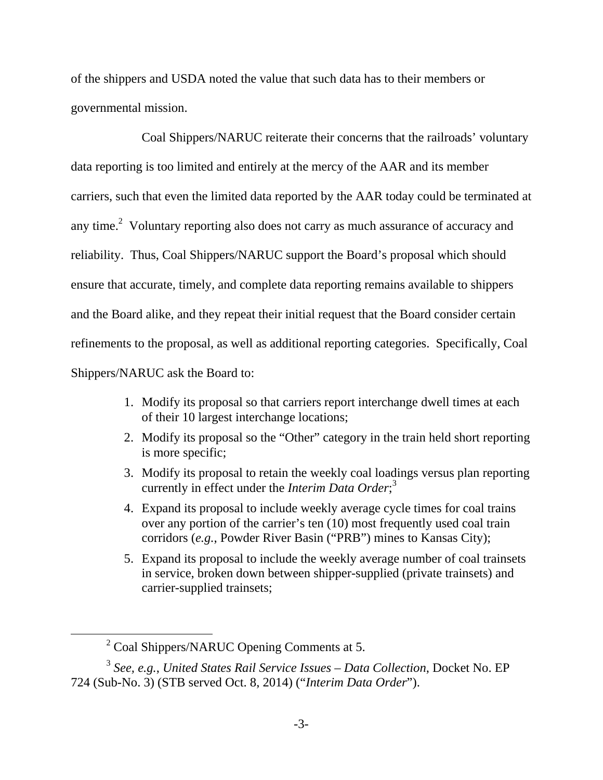of the shippers and USDA noted the value that such data has to their members or governmental mission.

 Coal Shippers/NARUC reiterate their concerns that the railroads' voluntary data reporting is too limited and entirely at the mercy of the AAR and its member carriers, such that even the limited data reported by the AAR today could be terminated at any time.<sup>2</sup> Voluntary reporting also does not carry as much assurance of accuracy and reliability. Thus, Coal Shippers/NARUC support the Board's proposal which should ensure that accurate, timely, and complete data reporting remains available to shippers and the Board alike, and they repeat their initial request that the Board consider certain refinements to the proposal, as well as additional reporting categories. Specifically, Coal Shippers/NARUC ask the Board to:

- 1. Modify its proposal so that carriers report interchange dwell times at each of their 10 largest interchange locations;
- 2. Modify its proposal so the "Other" category in the train held short reporting is more specific;
- 3. Modify its proposal to retain the weekly coal loadings versus plan reporting currently in effect under the *Interim Data Order*; 3
- 4. Expand its proposal to include weekly average cycle times for coal trains over any portion of the carrier's ten (10) most frequently used coal train corridors (*e.g.*, Powder River Basin ("PRB") mines to Kansas City);
- 5. Expand its proposal to include the weekly average number of coal trainsets in service, broken down between shipper-supplied (private trainsets) and carrier-supplied trainsets;

 $\overline{\ }$  2 <sup>2</sup> Coal Shippers/NARUC Opening Comments at 5.

<sup>3</sup> *See, e.g.*, *United States Rail Service Issues – Data Collection*, Docket No. EP 724 (Sub-No. 3) (STB served Oct. 8, 2014) ("*Interim Data Order*").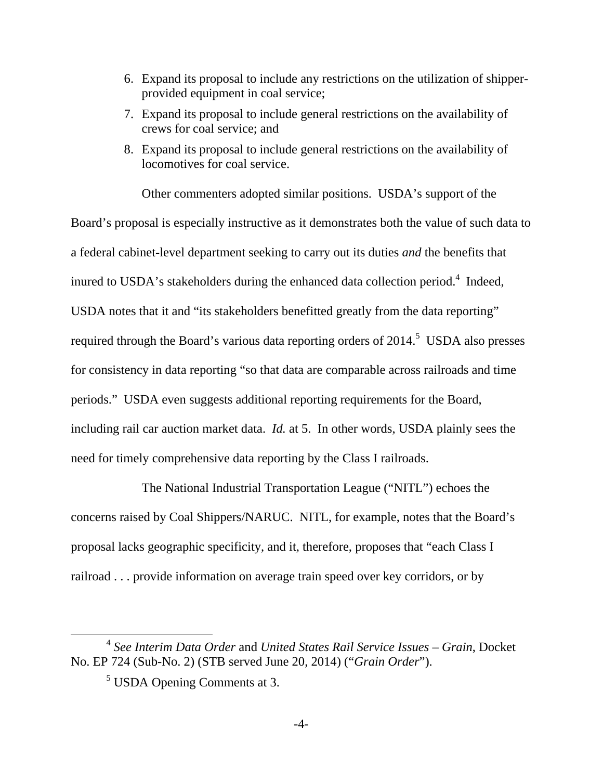- 6. Expand its proposal to include any restrictions on the utilization of shipperprovided equipment in coal service;
- 7. Expand its proposal to include general restrictions on the availability of crews for coal service; and
- 8. Expand its proposal to include general restrictions on the availability of locomotives for coal service.

 Other commenters adopted similar positions. USDA's support of the Board's proposal is especially instructive as it demonstrates both the value of such data to a federal cabinet-level department seeking to carry out its duties *and* the benefits that inured to USDA's stakeholders during the enhanced data collection period.<sup>4</sup> Indeed, USDA notes that it and "its stakeholders benefitted greatly from the data reporting" required through the Board's various data reporting orders of  $2014$ <sup>5</sup> USDA also presses for consistency in data reporting "so that data are comparable across railroads and time periods." USDA even suggests additional reporting requirements for the Board, including rail car auction market data. *Id.* at 5. In other words, USDA plainly sees the need for timely comprehensive data reporting by the Class I railroads.

 The National Industrial Transportation League ("NITL") echoes the concerns raised by Coal Shippers/NARUC. NITL, for example, notes that the Board's proposal lacks geographic specificity, and it, therefore, proposes that "each Class I railroad . . . provide information on average train speed over key corridors, or by

 <sup>4</sup> *See Interim Data Order* and *United States Rail Service Issues – Grain*, Docket No. EP 724 (Sub-No. 2) (STB served June 20, 2014) ("*Grain Order*").

<sup>&</sup>lt;sup>5</sup> USDA Opening Comments at 3.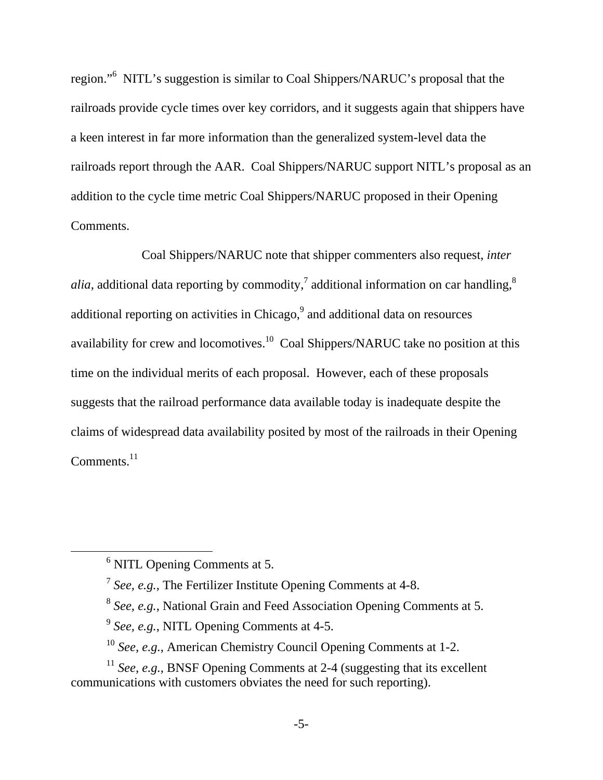region."<sup>6</sup> NITL's suggestion is similar to Coal Shippers/NARUC's proposal that the railroads provide cycle times over key corridors, and it suggests again that shippers have a keen interest in far more information than the generalized system-level data the railroads report through the AAR. Coal Shippers/NARUC support NITL's proposal as an addition to the cycle time metric Coal Shippers/NARUC proposed in their Opening Comments.

 Coal Shippers/NARUC note that shipper commenters also request, *inter alia*, additional data reporting by commodity,<sup>7</sup> additional information on car handling,<sup>8</sup> additional reporting on activities in Chicago, $9$  and additional data on resources availability for crew and locomotives.<sup>10</sup> Coal Shippers/NARUC take no position at this time on the individual merits of each proposal. However, each of these proposals suggests that the railroad performance data available today is inadequate despite the claims of widespread data availability posited by most of the railroads in their Opening  $Comments.<sup>11</sup>$ 

 <sup>6</sup> <sup>6</sup> NITL Opening Comments at 5.

<sup>7</sup> *See, e.g.*, The Fertilizer Institute Opening Comments at 4-8.

<sup>8</sup> *See, e.g.*, National Grain and Feed Association Opening Comments at 5.

<sup>9</sup> *See, e.g.*, NITL Opening Comments at 4-5.

<sup>10</sup> *See, e.g.*, American Chemistry Council Opening Comments at 1-2.

<sup>&</sup>lt;sup>11</sup> *See, e.g.*, BNSF Opening Comments at 2-4 (suggesting that its excellent communications with customers obviates the need for such reporting).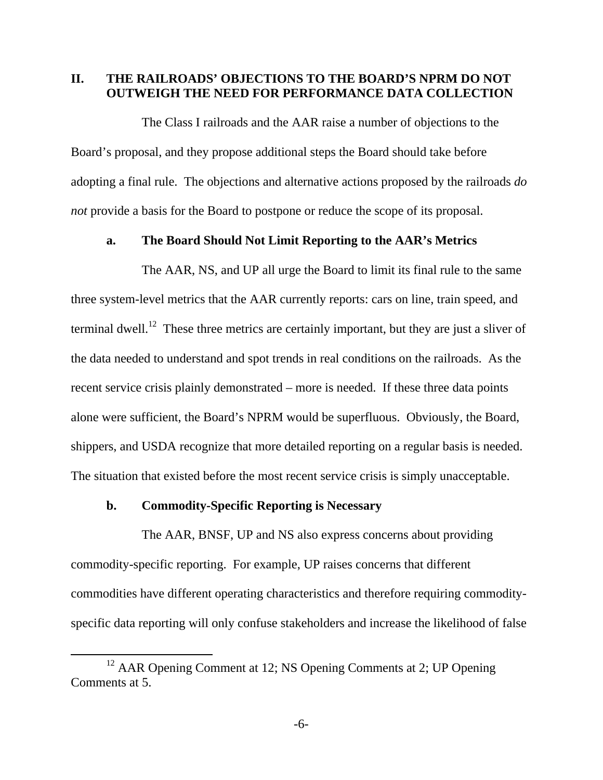### **II. THE RAILROADS' OBJECTIONS TO THE BOARD'S NPRM DO NOT OUTWEIGH THE NEED FOR PERFORMANCE DATA COLLECTION**

The Class I railroads and the AAR raise a number of objections to the Board's proposal, and they propose additional steps the Board should take before adopting a final rule. The objections and alternative actions proposed by the railroads *do not* provide a basis for the Board to postpone or reduce the scope of its proposal.

#### **a. The Board Should Not Limit Reporting to the AAR's Metrics**

 The AAR, NS, and UP all urge the Board to limit its final rule to the same three system-level metrics that the AAR currently reports: cars on line, train speed, and terminal dwell.<sup>12</sup> These three metrics are certainly important, but they are just a sliver of the data needed to understand and spot trends in real conditions on the railroads. As the recent service crisis plainly demonstrated – more is needed. If these three data points alone were sufficient, the Board's NPRM would be superfluous. Obviously, the Board, shippers, and USDA recognize that more detailed reporting on a regular basis is needed. The situation that existed before the most recent service crisis is simply unacceptable.

#### **b. Commodity-Specific Reporting is Necessary**

 The AAR, BNSF, UP and NS also express concerns about providing commodity-specific reporting. For example, UP raises concerns that different commodities have different operating characteristics and therefore requiring commodityspecific data reporting will only confuse stakeholders and increase the likelihood of false

<sup>&</sup>lt;sup>12</sup> AAR Opening Comment at 12; NS Opening Comments at 2; UP Opening Comments at 5.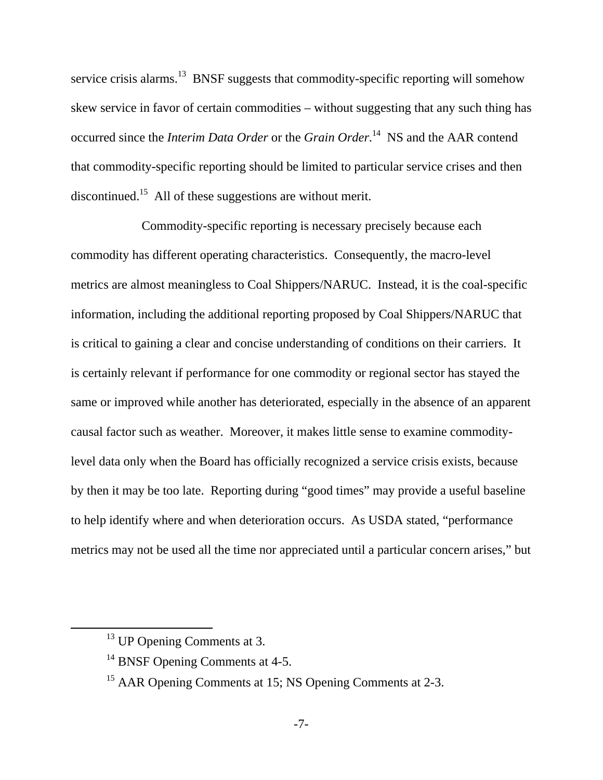service crisis alarms.<sup>13</sup> BNSF suggests that commodity-specific reporting will somehow skew service in favor of certain commodities – without suggesting that any such thing has occurred since the *Interim Data Order* or the *Grain Order*. 14 NS and the AAR contend that commodity-specific reporting should be limited to particular service crises and then discontinued.15 All of these suggestions are without merit.

 Commodity-specific reporting is necessary precisely because each commodity has different operating characteristics. Consequently, the macro-level metrics are almost meaningless to Coal Shippers/NARUC. Instead, it is the coal-specific information, including the additional reporting proposed by Coal Shippers/NARUC that is critical to gaining a clear and concise understanding of conditions on their carriers. It is certainly relevant if performance for one commodity or regional sector has stayed the same or improved while another has deteriorated, especially in the absence of an apparent causal factor such as weather. Moreover, it makes little sense to examine commoditylevel data only when the Board has officially recognized a service crisis exists, because by then it may be too late. Reporting during "good times" may provide a useful baseline to help identify where and when deterioration occurs. As USDA stated, "performance metrics may not be used all the time nor appreciated until a particular concern arises," but

<sup>&</sup>lt;sup>13</sup> UP Opening Comments at 3.

<sup>&</sup>lt;sup>14</sup> BNSF Opening Comments at 4-5.

<sup>&</sup>lt;sup>15</sup> AAR Opening Comments at 15; NS Opening Comments at 2-3.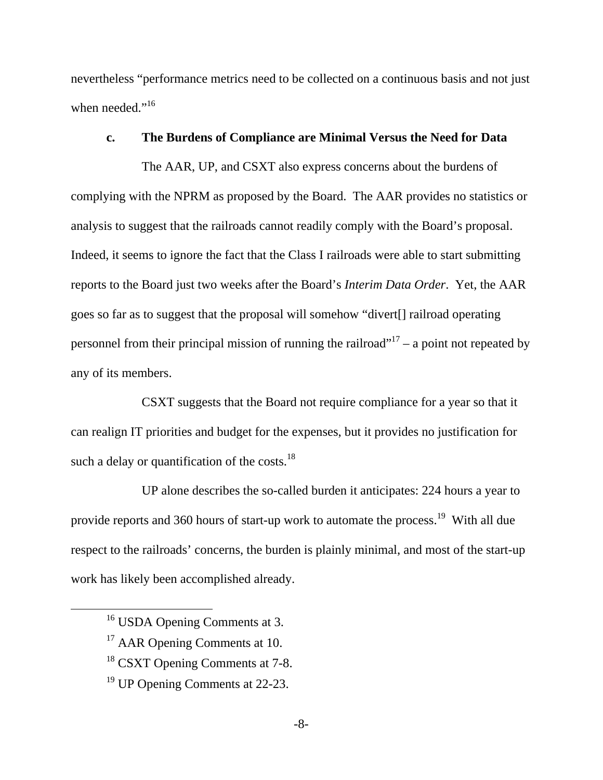nevertheless "performance metrics need to be collected on a continuous basis and not just when needed."<sup>16</sup>

#### **c. The Burdens of Compliance are Minimal Versus the Need for Data**

 The AAR, UP, and CSXT also express concerns about the burdens of complying with the NPRM as proposed by the Board. The AAR provides no statistics or analysis to suggest that the railroads cannot readily comply with the Board's proposal. Indeed, it seems to ignore the fact that the Class I railroads were able to start submitting reports to the Board just two weeks after the Board's *Interim Data Order*. Yet, the AAR goes so far as to suggest that the proposal will somehow "divert[] railroad operating personnel from their principal mission of running the railroad"<sup>17</sup> – a point not repeated by any of its members.

 CSXT suggests that the Board not require compliance for a year so that it can realign IT priorities and budget for the expenses, but it provides no justification for such a delay or quantification of the costs.<sup>18</sup>

 UP alone describes the so-called burden it anticipates: 224 hours a year to provide reports and 360 hours of start-up work to automate the process.<sup>19</sup> With all due respect to the railroads' concerns, the burden is plainly minimal, and most of the start-up work has likely been accomplished already.

<sup>&</sup>lt;sup>16</sup> USDA Opening Comments at 3.

<sup>&</sup>lt;sup>17</sup> AAR Opening Comments at 10.

<sup>&</sup>lt;sup>18</sup> CSXT Opening Comments at 7-8.

<sup>&</sup>lt;sup>19</sup> UP Opening Comments at 22-23.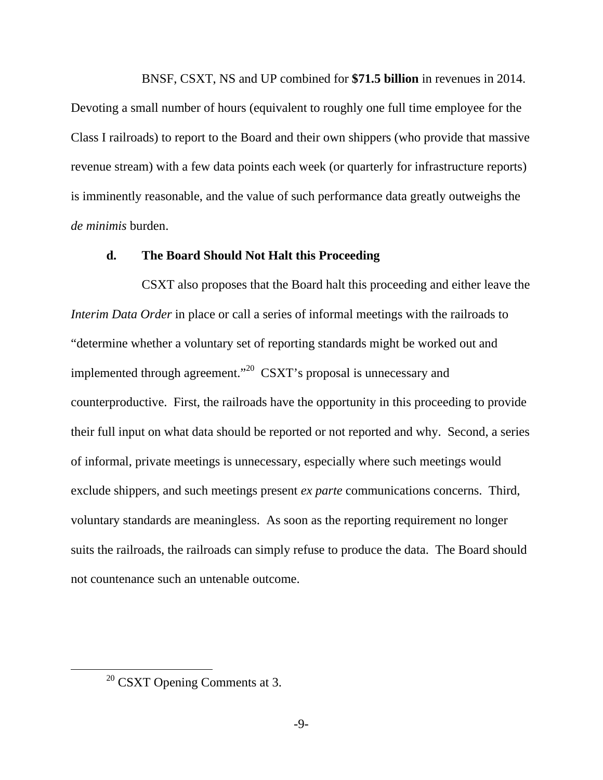BNSF, CSXT, NS and UP combined for **\$71.5 billion** in revenues in 2014.

Devoting a small number of hours (equivalent to roughly one full time employee for the Class I railroads) to report to the Board and their own shippers (who provide that massive revenue stream) with a few data points each week (or quarterly for infrastructure reports) is imminently reasonable, and the value of such performance data greatly outweighs the *de minimis* burden.

### **d. The Board Should Not Halt this Proceeding**

 CSXT also proposes that the Board halt this proceeding and either leave the *Interim Data Order* in place or call a series of informal meetings with the railroads to "determine whether a voluntary set of reporting standards might be worked out and implemented through agreement."<sup>20</sup> CSXT's proposal is unnecessary and counterproductive. First, the railroads have the opportunity in this proceeding to provide their full input on what data should be reported or not reported and why. Second, a series of informal, private meetings is unnecessary, especially where such meetings would exclude shippers, and such meetings present *ex parte* communications concerns. Third, voluntary standards are meaningless. As soon as the reporting requirement no longer suits the railroads, the railroads can simply refuse to produce the data. The Board should not countenance such an untenable outcome.

 $20$  CSXT Opening Comments at 3.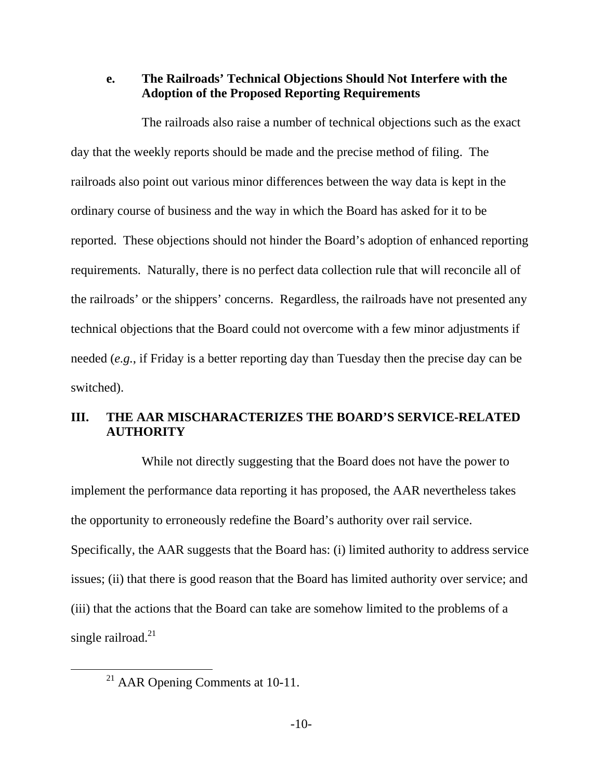**e. The Railroads' Technical Objections Should Not Interfere with the Adoption of the Proposed Reporting Requirements** 

The railroads also raise a number of technical objections such as the exact day that the weekly reports should be made and the precise method of filing. The railroads also point out various minor differences between the way data is kept in the ordinary course of business and the way in which the Board has asked for it to be reported. These objections should not hinder the Board's adoption of enhanced reporting requirements. Naturally, there is no perfect data collection rule that will reconcile all of the railroads' or the shippers' concerns. Regardless, the railroads have not presented any technical objections that the Board could not overcome with a few minor adjustments if needed (*e.g.*, if Friday is a better reporting day than Tuesday then the precise day can be switched).

## **III. THE AAR MISCHARACTERIZES THE BOARD'S SERVICE-RELATED AUTHORITY**

 While not directly suggesting that the Board does not have the power to implement the performance data reporting it has proposed, the AAR nevertheless takes the opportunity to erroneously redefine the Board's authority over rail service. Specifically, the AAR suggests that the Board has: (i) limited authority to address service issues; (ii) that there is good reason that the Board has limited authority over service; and (iii) that the actions that the Board can take are somehow limited to the problems of a single railroad. $^{21}$ 

<sup>&</sup>lt;sup>21</sup> AAR Opening Comments at 10-11.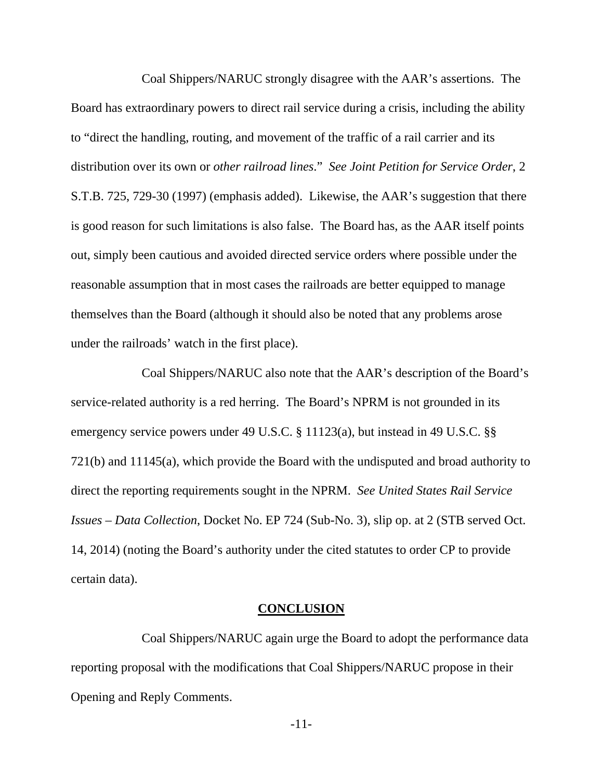Coal Shippers/NARUC strongly disagree with the AAR's assertions. The Board has extraordinary powers to direct rail service during a crisis, including the ability to "direct the handling, routing, and movement of the traffic of a rail carrier and its distribution over its own or *other railroad lines*." *See Joint Petition for Service Order*, 2 S.T.B. 725, 729-30 (1997) (emphasis added). Likewise, the AAR's suggestion that there is good reason for such limitations is also false. The Board has, as the AAR itself points out, simply been cautious and avoided directed service orders where possible under the reasonable assumption that in most cases the railroads are better equipped to manage themselves than the Board (although it should also be noted that any problems arose under the railroads' watch in the first place).

Coal Shippers/NARUC also note that the AAR's description of the Board's service-related authority is a red herring. The Board's NPRM is not grounded in its emergency service powers under 49 U.S.C. § 11123(a), but instead in 49 U.S.C. §§ 721(b) and 11145(a), which provide the Board with the undisputed and broad authority to direct the reporting requirements sought in the NPRM. *See United States Rail Service Issues – Data Collection*, Docket No. EP 724 (Sub-No. 3), slip op. at 2 (STB served Oct. 14, 2014) (noting the Board's authority under the cited statutes to order CP to provide certain data).

#### **CONCLUSION**

 Coal Shippers/NARUC again urge the Board to adopt the performance data reporting proposal with the modifications that Coal Shippers/NARUC propose in their Opening and Reply Comments.

-11-